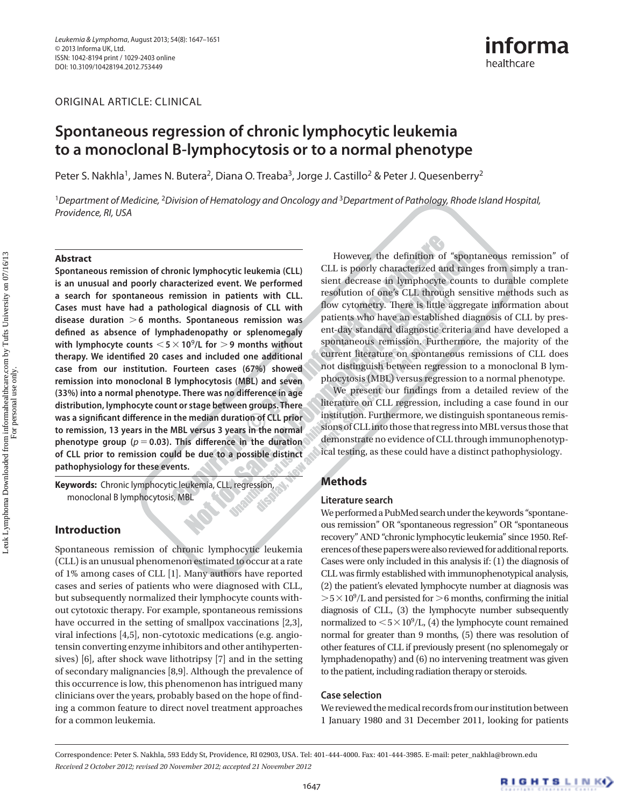ORIGINAL ARTICLE: CLINICAL

# **Spontaneous regression of chronic lymphocytic leukemia to a monoclonal B-lymphocytosis or to a normal phenotype**

Peter S. Nakhla<sup>1</sup>, James N. Butera<sup>2</sup>, Diana O. Treaba<sup>3</sup>, Jorge J. Castillo<sup>2</sup> & Peter J. Quesenberry<sup>2</sup>

<sup>1</sup>Department of Medicine, <sup>2</sup>Division of Hematology and Oncology and <sup>3</sup>Department of Pathology, Rhode Island Hospital, Providence, RI, USA

#### **Abstract**

 **Spontaneous remission of chronic lymphocytic leukemia (CLL) is an unusual and poorly characterized event. We performed a search for spontaneous remission in patients with CLL. Cases must have had a pathological diagnosis of CLL with disease duration** - **6 months. Spontaneous remission was defi ned as absence of lymphadenopathy or splenomegaly**  with lymphocyte counts  $<$  5  $\times$  10<sup>9</sup>/L for  $>$  9 months without therapy. We identified 20 cases and included one additional **case from our institution. Fourteen cases (67%) showed remission into monoclonal B lymphocytosis (MBL) and seven**  (33%) into a normal phenotype. There was no difference in age **distribution, lymphocyte count or stage between groups. There**  was a significant difference in the median duration of CLL prior **to remission, 13 years in the MBL versus 3 years in the normal**  phenotype group ( $p = 0.03$ ). This difference in the duration **of CLL prior to remission could be due to a possible distinct pathophysiology for these events.** 

Keywords: Chronic lymphocytic leukemia, CLL, regression, monoclonal B lymphocytosis, MBL

# **Introduction**

 Spontaneous remission of chronic lymphocytic leukemia (CLL) is an unusual phenomenon estimated to occur at a rate of 1% among cases of CLL [1]. Many authors have reported cases and series of patients who were diagnosed with CLL, but subsequently normalized their lymphocyte counts without cytotoxic therapy. For example, spontaneous remissions have occurred in the setting of smallpox vaccinations [2,3], viral infections [4,5], non-cytotoxic medications (e.g. angiotensin converting enzyme inhibitors and other antihypertensives) [6], after shock wave lithotripsy [7] and in the setting of secondary malignancies [8,9]. Although the prevalence of this occurrence is low, this phenomenon has intrigued many clinicians over the years, probably based on the hope of finding a common feature to direct novel treatment approaches for a common leukemia.

However, the definition of "spontaneous remission" of CLL is poorly characterized and ranges from simply a transient decrease in lymphocyte counts to durable complete resolution of one's CLL through sensitive methods such as flow cytometry. There is little aggregate information about patients who have an established diagnosis of CLL by present-day standard diagnostic criteria and have developed a spontaneous remission. Furthermore, the majority of the current literature on spontaneous remissions of CLL does not distinguish between regression to a monoclonal B lymphocytosis (MBL) versus regression to a normal phenotype.

informa

healthcare

We present our findings from a detailed review of the literature on CLL regression, including a case found in our institution. Furthermore, we distinguish spontaneous remissions of CLL into those that regress into MBL versus those that demonstrate no evidence of CLL through immunophenotypical testing, as these could have a distinct pathophysiology.

# **Methods**

#### **Literature search**

We performed a PubMed search under the keywords "spontaneous remission" OR "spontaneous regression" OR "spontaneous recovery" AND "chronic lymphocytic leukemia" since 1950. References of these papers were also reviewed for additional reports. Cases were only included in this analysis if: (1) the diagnosis of CLL was firmly established with immunophenotypical analysis, (2) the patient's elevated lymphocyte number at diagnosis was  $> 5 \times 10^9$ /L and persisted for  $> 6$  months, confirming the initial diagnosis of CLL, (3) the lymphocyte number subsequently normalized to  $\langle 5 \times 10^9 \rangle L$ , (4) the lymphocyte count remained normal for greater than 9 months, (5) there was resolution of other features of CLL if previously present (no splenomegaly or lymphadenopathy) and (6) no intervening treatment was given to the patient, including radiation therapy or steroids.

#### **Case selection**

 We reviewed the medical records from our institution between 1 January 1980 and 31 December 2011, looking for patients

 Correspondence: Peter S. Nakhla, 593 Eddy St, Providence, RI 02903, USA. Tel: 401-444-4000. Fax: 401-444-3985. E-mail: peter\_nakhla@brown.edu  *Received 2 October 2012 ; revised 20 November 2012 ; accepted 21 November 2012*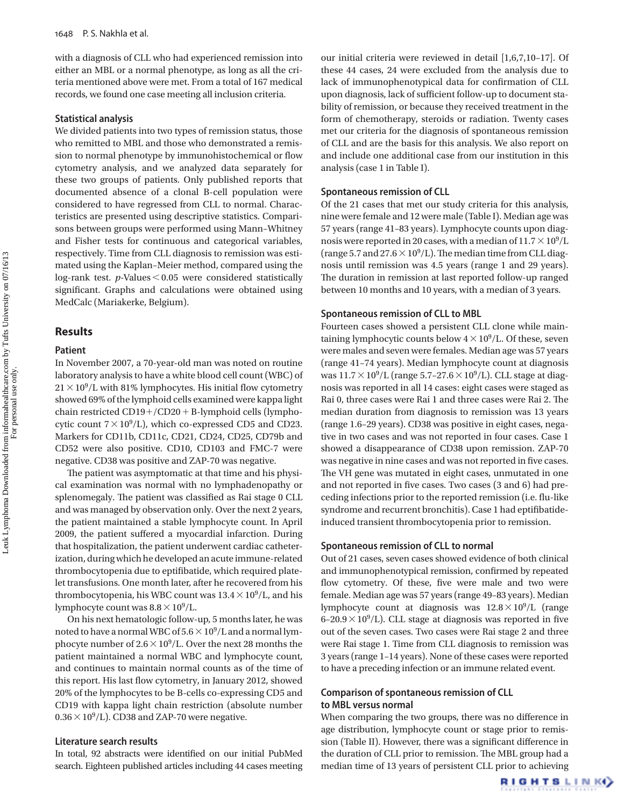with a diagnosis of CLL who had experienced remission into either an MBL or a normal phenotype, as long as all the criteria mentioned above were met. From a total of 167 medical records, we found one case meeting all inclusion criteria.

#### **Statistical analysis**

 We divided patients into two types of remission status, those who remitted to MBL and those who demonstrated a remission to normal phenotype by immunohistochemical or flow cytometry analysis, and we analyzed data separately for these two groups of patients. Only published reports that documented absence of a clonal B-cell population were considered to have regressed from CLL to normal. Characteristics are presented using descriptive statistics. Comparisons between groups were performed using Mann – Whitney and Fisher tests for continuous and categorical variables, respectively. Time from CLL diagnosis to remission was estimated using the Kaplan – Meier method, compared using the log-rank test.  $p$ -Values  $< 0.05$  were considered statistically significant. Graphs and calculations were obtained using MedCalc (Mariakerke, Belgium).

# **Results**

#### **Patient**

 In November 2007, a 70-year-old man was noted on routine laboratory analysis to have a white blood cell count (WBC) of  $21 \times 10^9$ /L with 81% lymphocytes. His initial flow cytometry showed 69% of the lymphoid cells examined were kappa light chain restricted  $CD19+/CD20 + B$ -lymphoid cells (lymphocytic count  $7 \times 10^9$ /L), which co-expressed CD5 and CD23. Markers for CD11b, CD11c, CD21, CD24, CD25, CD79b and CD52 were also positive. CD10, CD103 and FMC-7 were negative. CD38 was positive and ZAP-70 was negative.

The patient was asymptomatic at that time and his physical examination was normal with no lymphadenopathy or splenomegaly. The patient was classified as Rai stage 0 CLL and was managed by observation only. Over the next 2 years, the patient maintained a stable lymphocyte count. In April 2009, the patient suffered a myocardial infarction. During that hospitalization, the patient underwent cardiac catheterization, during which he developed an acute immune-related thrombocytopenia due to eptifibatide, which required platelet transfusions. One month later, after he recovered from his thrombocytopenia, his WBC count was  $13.4 \times 10^9$ /L, and his lymphocyte count was  $8.8 \times 10^9$ /L.

 On his next hematologic follow-up, 5 months later, he was noted to have a normal WBC of  $5.6 \times 10^9$ /L and a normal lymphocyte number of  $2.6 \times 10^9$ /L. Over the next 28 months the patient maintained a normal WBC and lymphocyte count, and continues to maintain normal counts as of the time of this report. His last flow cytometry, in January 2012, showed 20% of the lymphocytes to be B-cells co-expressing CD5 and CD19 with kappa light chain restriction (absolute number  $0.36 \times 10^9$ /L). CD38 and ZAP-70 were negative.

#### **Literature search results**

In total, 92 abstracts were identified on our initial PubMed search. Eighteen published articles including 44 cases meeting our initial criteria were reviewed in detail [1,6,7,10-17]. Of these 44 cases, 24 were excluded from the analysis due to lack of immunophenotypical data for confirmation of CLL upon diagnosis, lack of sufficient follow-up to document stability of remission, or because they received treatment in the form of chemotherapy, steroids or radiation. Twenty cases met our criteria for the diagnosis of spontaneous remission of CLL and are the basis for this analysis. We also report on and include one additional case from our institution in this analysis (case 1 in Table I).

#### **Spontaneous remission of CLL**

 Of the 21 cases that met our study criteria for this analysis, nine were female and 12 were male (Table I). Median age was 57 years (range 41 – 83 years). Lymphocyte counts upon diagnosis were reported in 20 cases, with a median of  $11.7 \times 10^9$ /L (range 5.7 and  $27.6 \times 10^9$ /L). The median time from CLL diagnosis until remission was 4.5 years (range 1 and 29 years). The duration in remission at last reported follow-up ranged between 10 months and 10 years, with a median of 3 years.

#### **Spontaneous remission of CLL to MBL**

 Fourteen cases showed a persistent CLL clone while maintaining lymphocytic counts below  $4 \times 10^9$ /L. Of these, seven were males and seven were females. Median age was 57 years (range 41-74 years). Median lymphocyte count at diagnosis was  $11.7 \times 10^9$ /L (range 5.7-27.6  $\times 10^9$ /L). CLL stage at diagnosis was reported in all 14 cases: eight cases were staged as Rai 0, three cases were Rai 1 and three cases were Rai 2. The median duration from diagnosis to remission was 13 years (range 1.6 – 29 years). CD38 was positive in eight cases, negative in two cases and was not reported in four cases. Case 1 showed a disappearance of CD38 upon remission. ZAP-70 was negative in nine cases and was not reported in five cases. The VH gene was mutated in eight cases, unmutated in one and not reported in five cases. Two cases (3 and 6) had preceding infections prior to the reported remission (i.e. flu-like syndrome and recurrent bronchitis). Case 1 had eptifibatideinduced transient thrombocytopenia prior to remission.

#### **Spontaneous remission of CLL to normal**

 Out of 21 cases, seven cases showed evidence of both clinical and immunophenotypical remission, confirmed by repeated flow cytometry. Of these, five were male and two were female. Median age was 57 years (range 49 – 83 years). Median lymphocyte count at diagnosis was  $12.8 \times 10^9$ /L (range  $6-20.9 \times 10^9$ /L). CLL stage at diagnosis was reported in five out of the seven cases. Two cases were Rai stage 2 and three were Rai stage 1. Time from CLL diagnosis to remission was 3 years (range 1 – 14 years). None of these cases were reported to have a preceding infection or an immune related event.

# **Comparison of spontaneous remission of CLL to MBL versus normal**

When comparing the two groups, there was no difference in age distribution, lymphocyte count or stage prior to remission (Table II). However, there was a significant difference in the duration of CLL prior to remission. The MBL group had a median time of 13 years of persistent CLL prior to achieving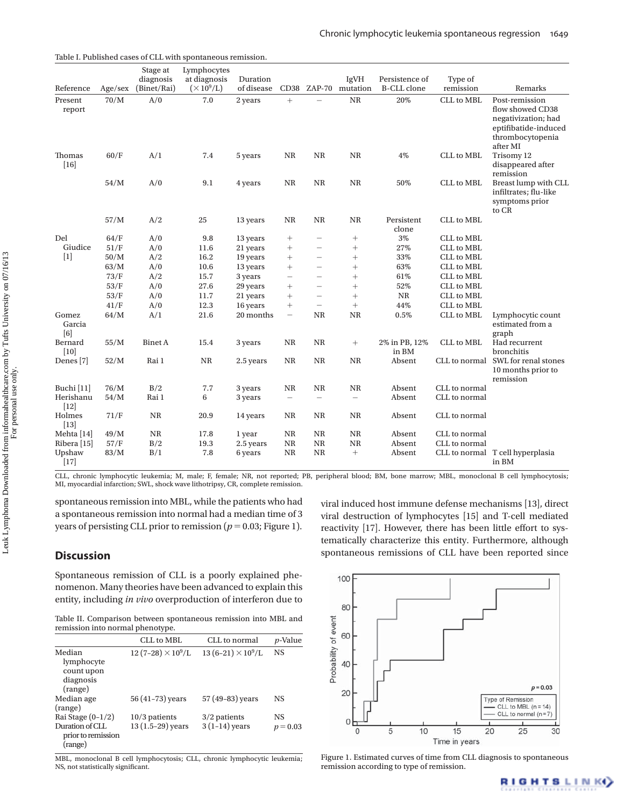| Reference              | Age/sec | Stage at<br>diagnosis<br>(Binet/Rai) | Lymphocytes<br>at diagnosis<br>$(\times 10^9$ /L) | Duration<br>of disease | CD38                     |                          | IgVH<br>ZAP-70 mutation | Persistence of<br><b>B-CLL</b> clone | Type of<br>remission | Remarks                                                                                                           |
|------------------------|---------|--------------------------------------|---------------------------------------------------|------------------------|--------------------------|--------------------------|-------------------------|--------------------------------------|----------------------|-------------------------------------------------------------------------------------------------------------------|
| Present<br>report      | 70/M    | A/0                                  | 7.0                                               | 2 years                | $^{+}$                   |                          | <b>NR</b>               | 20%                                  | CLL to MBL           | Post-remission<br>flow showed CD38<br>negativization; had<br>eptifibatide-induced<br>thrombocytopenia<br>after MI |
| Thomas<br>$[16]$       | 60/F    | A/1                                  | 7.4                                               | 5 years                | NR                       | NR                       | <b>NR</b>               | 4%                                   | <b>CLL</b> to MBL    | Trisomy 12<br>disappeared after<br>remission                                                                      |
|                        | 54/M    | A/0                                  | 9.1                                               | 4 years                | $\rm NR$                 | $\rm NR$                 | $\rm NR$                | 50%                                  | <b>CLL</b> to MBL    | Breast lump with CLL<br>infiltrates; flu-like<br>symptoms prior<br>to CR                                          |
|                        | 57/M    | A/2                                  | 25                                                | 13 years               | $\rm NR$                 | $\rm NR$                 | $\rm NR$                | Persistent<br>clone                  | CLL to MBL           |                                                                                                                   |
| Del                    | 64/F    | A/0                                  | 9.8                                               | 13 years               | $^{+}$                   | $\overline{\phantom{0}}$ | $\! + \!\!\!\!$         | $3\%$                                | <b>CLL</b> to MBL    |                                                                                                                   |
| Giudice                | 51/F    | A/0                                  | 11.6                                              | 21 years               | $^{+}$                   | -                        | $^{+}$                  | 27%                                  | <b>CLL</b> to MBL    |                                                                                                                   |
| $[1]$                  | 50/M    | A/2                                  | 16.2                                              | 19 years               |                          | $\overline{\phantom{0}}$ | $^{+}$                  | 33%                                  | <b>CLL</b> to MBL    |                                                                                                                   |
|                        | 63/M    | A/0                                  | 10.6                                              | 13 years               | $^{+}$                   | $\overline{\phantom{0}}$ | $^{+}$                  | 63%                                  | <b>CLL</b> to MBL    |                                                                                                                   |
|                        | 73/F    | A/2                                  | 15.7                                              | 3 years                | $\overline{\phantom{0}}$ | $\overline{\phantom{0}}$ | $^{+}$                  | 61%                                  | <b>CLL</b> to MBL    |                                                                                                                   |
|                        | 53/F    | A/0                                  | 27.6                                              | 29 years               | $^{+}$                   | $\overline{\phantom{0}}$ | $^{+}$                  | 52%                                  | <b>CLL</b> to MBL    |                                                                                                                   |
|                        | 53/F    | A/0                                  | 11.7                                              | 21 years               | $^{+}$                   | $\overline{\phantom{0}}$ | $^{+}$                  | <b>NR</b>                            | <b>CLL</b> to MBL    |                                                                                                                   |
|                        | 41/F    | A/0                                  | 12.3                                              | 16 years               | $^{+}$                   | $\overline{\phantom{0}}$ | $^{+}$                  | 44%                                  | <b>CLL</b> to MBL    |                                                                                                                   |
| Gomez<br>Garcia<br>[6] | 64/M    | A/1                                  | 21.6                                              | 20 months              | $\overline{\phantom{0}}$ | NR                       | NR                      | 0.5%                                 | <b>CLL</b> to MBL    | Lymphocytic count<br>estimated from a<br>graph                                                                    |
| Bernard<br>[10]        | 55/M    | <b>Binet A</b>                       | 15.4                                              | 3 years                | NR                       | NR                       | $\! + \!\!\!\!$         | 2% in PB, 12%<br>in BM               | CLL to MBL           | Had recurrent<br>bronchitis                                                                                       |
| Denes <sup>[7]</sup>   | 52/M    | Rai 1                                | $\rm NR$                                          | 2.5 years              | $\rm NR$                 | NR                       | $\rm NR$                | Absent                               | CLL to normal        | SWL for renal stones<br>10 months prior to<br>remission                                                           |
| Buchi [11]             | 76/M    | B/2                                  | 7.7                                               | 3 years                | $\rm NR$                 | <b>NR</b>                | $\rm NR$                | Absent                               | CLL to normal        |                                                                                                                   |
| Herishanu<br>$[12]$    | 54/M    | Rai 1                                | 6                                                 | 3 years                | $\overline{\phantom{0}}$ | $\overline{\phantom{0}}$ |                         | Absent                               | CLL to normal        |                                                                                                                   |
| Holmes<br>$[13]$       | 71/F    | <b>NR</b>                            | 20.9                                              | 14 years               | <b>NR</b>                | NR                       | NR                      | Absent                               | CLL to normal        |                                                                                                                   |
| Mehta [14]             | 49/M    | <b>NR</b>                            | 17.8                                              | 1 year                 | NR                       | NR                       | NR                      | Absent                               | CLL to normal        |                                                                                                                   |
| Ribera [15]            | 57/F    | B/2                                  | 19.3                                              | 2.5 years              | NR                       | <b>NR</b>                | <b>NR</b>               | Absent                               | CLL to normal        |                                                                                                                   |
| Upshaw<br>$[17]$       | 83/M    | B/1                                  | 7.8                                               | 6 years                | <b>NR</b>                | <b>NR</b>                | $^{+}$                  | Absent                               | CLL to normal        | T cell hyperplasia<br>in BM                                                                                       |

Table I. Published cases of CLL with spontaneous remission.

 CLL, chronic lymphocytic leukemia; M, male; F, female; NR, not reported; PB, peripheral blood; BM, bone marrow; MBL, monoclonal B cell lymphocytosis; MI, myocardial infarction; SWL, shock wave lithotripsy, CR, complete remission.

spontaneous remission into MBL, while the patients who had a spontaneous remission into normal had a median time of 3 years of persisting CLL prior to remission ( $p = 0.03$ ; Figure 1).

# **Discussion**

 Spontaneous remission of CLL is a poorly explained phenomenon. Many theories have been advanced to explain this entity, including *in vivo* overproduction of interferon due to

 Table II. Comparison between spontaneous remission into MBL and remission into normal phenotype.

|                                                                         | CLL to MBL                            | CLL to normal                     | <i>p</i> -Value  |
|-------------------------------------------------------------------------|---------------------------------------|-----------------------------------|------------------|
| Median<br>lymphocyte<br>count upon<br>diagnosis<br>(range)              | $12(7-28) \times 10^9$ /L             | $13(6-21)\times 10^9/L$           | <b>NS</b>        |
| Median age<br>(range)                                                   | 56 (41-73) years                      | 57 (49-83) years                  | NS               |
| Rai Stage $(0-1/2)$<br>Duration of CLL<br>prior to remission<br>(range) | $10/3$ patients<br>$13(1.5-29)$ years | $3/2$ patients<br>$3(1-14)$ years | NS<br>$p = 0.03$ |

 MBL, monoclonal B cell lymphocytosis; CLL, chronic lymphocytic leukemia; NS, not statistically significant.



viral induced host immune defense mechanisms [13], direct viral destruction of lymphocytes [15] and T-cell mediated reactivity [17]. However, there has been little effort to systematically characterize this entity. Furthermore, although spontaneous remissions of CLL have been reported since

 Figure 1. Estimated curves of time from CLL diagnosis to spontaneous remission according to type of remission.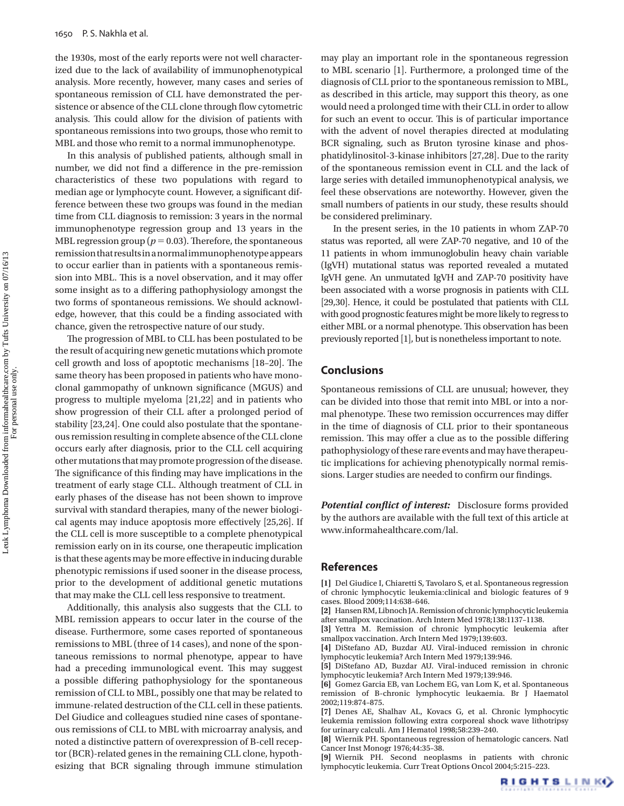the 1930s, most of the early reports were not well characterized due to the lack of availability of immunophenotypical analysis. More recently, however, many cases and series of spontaneous remission of CLL have demonstrated the persistence or absence of the CLL clone through flow cytometric analysis. This could allow for the division of patients with spontaneous remissions into two groups, those who remit to MBL and those who remit to a normal immunophenotype.

 In this analysis of published patients, although small in number, we did not find a difference in the pre-remission characteristics of these two populations with regard to median age or lymphocyte count. However, a significant difference between these two groups was found in the median time from CLL diagnosis to remission: 3 years in the normal immunophenotype regression group and 13 years in the MBL regression group ( $p = 0.03$ ). Therefore, the spontaneous remission that results in a normal immunophenotype appears to occur earlier than in patients with a spontaneous remission into MBL. This is a novel observation, and it may offer some insight as to a differing pathophysiology amongst the two forms of spontaneous remissions. We should acknowledge, however, that this could be a finding associated with chance, given the retrospective nature of our study.

The progression of MBL to CLL has been postulated to be the result of acquiring new genetic mutations which promote cell growth and loss of apoptotic mechanisms [18-20]. The same theory has been proposed in patients who have monoclonal gammopathy of unknown significance (MGUS) and progress to multiple myeloma [21,22] and in patients who show progression of their CLL after a prolonged period of stability [23,24]. One could also postulate that the spontaneous remission resulting in complete absence of the CLL clone occurs early after diagnosis, prior to the CLL cell acquiring other mutations that may promote progression of the disease. The significance of this finding may have implications in the treatment of early stage CLL. Although treatment of CLL in early phases of the disease has not been shown to improve survival with standard therapies, many of the newer biological agents may induce apoptosis more effectively [25,26]. If the CLL cell is more susceptible to a complete phenotypical remission early on in its course, one therapeutic implication is that these agents may be more effective in inducing durable phenotypic remissions if used sooner in the disease process, prior to the development of additional genetic mutations that may make the CLL cell less responsive to treatment.

 Additionally, this analysis also suggests that the CLL to MBL remission appears to occur later in the course of the disease. Furthermore, some cases reported of spontaneous remissions to MBL (three of 14 cases), and none of the spontaneous remissions to normal phenotype, appear to have had a preceding immunological event. This may suggest a possible differing pathophysiology for the spontaneous remission of CLL to MBL, possibly one that may be related to immune-related destruction of the CLL cell in these patients. Del Giudice and colleagues studied nine cases of spontaneous remissions of CLL to MBL with microarray analysis, and noted a distinctive pattern of overexpression of B-cell receptor (BCR)-related genes in the remaining CLL clone, hypothesizing that BCR signaling through immune stimulation may play an important role in the spontaneous regression to MBL scenario [1]. Furthermore, a prolonged time of the diagnosis of CLL prior to the spontaneous remission to MBL, as described in this article, may support this theory, as one would need a prolonged time with their CLL in order to allow for such an event to occur. This is of particular importance with the advent of novel therapies directed at modulating BCR signaling, such as Bruton tyrosine kinase and phosphatidylinositol-3-kinase inhibitors [27,28]. Due to the rarity of the spontaneous remission event in CLL and the lack of large series with detailed immunophenotypical analysis, we feel these observations are noteworthy. However, given the small numbers of patients in our study, these results should be considered preliminary.

 In the present series, in the 10 patients in whom ZAP-70 status was reported, all were ZAP-70 negative, and 10 of the 11 patients in whom immunoglobulin heavy chain variable (IgVH) mutational status was reported revealed a mutated IgVH gene. An unmutated IgVH and ZAP-70 positivity have been associated with a worse prognosis in patients with CLL [29,30]. Hence, it could be postulated that patients with CLL with good prognostic features might be more likely to regress to either MBL or a normal phenotype. This observation has been previously reported [1], but is nonetheless important to note.

# **Conclusions**

 Spontaneous remissions of CLL are unusual; however, they can be divided into those that remit into MBL or into a normal phenotype. These two remission occurrences may differ in the time of diagnosis of CLL prior to their spontaneous remission. This may offer a clue as to the possible differing pathophysiology of these rare events and may have therapeutic implications for achieving phenotypically normal remissions. Larger studies are needed to confirm our findings.

**Potential conflict of interest:** Disclosure forms provided by the authors are available with the full text of this article at www.informahealthcare.com/lal.

### **References**

[1] Del Giudice I, Chiaretti S, Tavolaro S, et al. Spontaneous regression of chronic lymphocytic leukemia:clinical and biologic features of 9 cases. Blood 2009;114:638-646.

**[2]** Hansen RM , Libnoch JA . Remission of chronic lymphocytic leukemia after smallpox vaccination. Arch Intern Med 1978;138:1137-1138.

[3] Yettra M. Remission of chronic lymphocytic leukemia after smallpox vaccination. Arch Intern Med 1979;139:603.

[4] DiStefano AD, Buzdar AU. Viral-induced remission in chronic lymphocytic leukemia? Arch Intern Med 1979;139:946.

[5] DiStefano AD, Buzdar AU. Viral-induced remission in chronic lymphocytic leukemia? Arch Intern Med 1979:139:946.

[6] Gomez Garcia EB, van Lochem EG, van Lom K, et al. Spontaneous remission of B-chronic lymphocytic leukaemia . Br J Haematol 2002:119:874-875

[7] Denes AE, Shalhav AL, Kovacs G, et al. Chronic lymphocytic leukemia remission following extra corporeal shock wave lithotripsy for urinary calculi. Am J Hematol 1998;58:239-240.

[8] Wiernik PH. Spontaneous regression of hematologic cancers. Natl Cancer Inst Monogr 1976;44:35-38.

[9] Wiernik PH. Second neoplasms in patients with chronic lymphocytic leukemia. Curr Treat Options Oncol 2004;5:215-223.